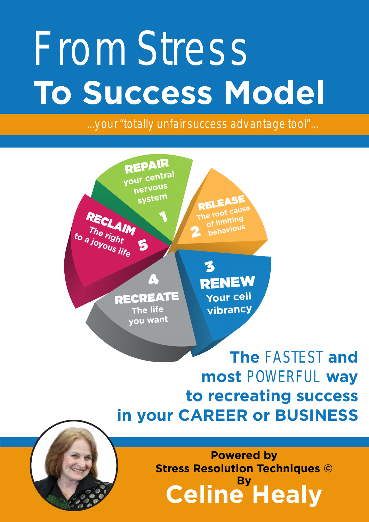# *From Stress*  **To Success Model**

*...your "totally unfair success advantage tool"...*



**The** *FASTEST* **and most** *POWERFUL* **way to recreating success in your CAREER or BUSINESS**

> **Celine Healy By Powered by Stress Resolution Techniques ©**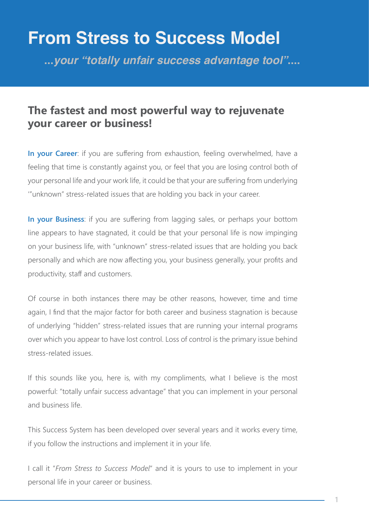#### **From Stress to Success Model**

**...***your "totally unfair success advantage tool"***....**

#### **The fastest and most powerful way to rejuvenate your career or business!**

**In your Career**: if you are suffering from exhaustion, feeling overwhelmed, have a feeling that time is constantly against you, or feel that you are losing control both of your personal life and your work life, it could be that your are suffering from underlying '"unknown" stress-related issues that are holding you back in your career.

**In your Business**: if you are suffering from lagging sales, or perhaps your bottom line appears to have stagnated, it could be that your personal life is now impinging on your business life, with "unknown" stress-related issues that are holding you back personally and which are now affecting you, your business generally, your profits and productivity, staff and customers.

Of course in both instances there may be other reasons, however, time and time again, I find that the major factor for both career and business stagnation is because of underlying "hidden" stress-related issues that are running your internal programs over which you appear to have lost control. Loss of control is the primary issue behind stress-related issues.

If this sounds like you, here is, with my compliments, what I believe is the most powerful: "totally unfair success advantage" that you can implement in your personal and business life.

This Success System has been developed over several years and it works every time, if you follow the instructions and implement it in your life.

I call it "*From Stress to Success Model*" and it is yours to use to implement in your personal life in your career or business.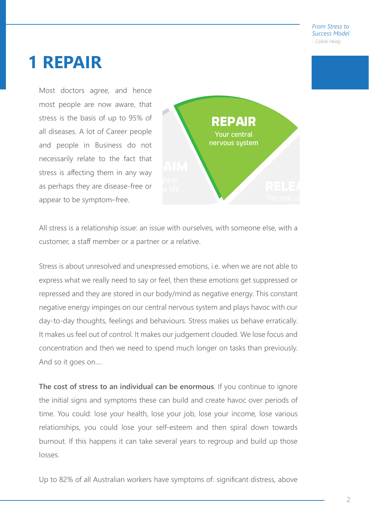#### **1 REPAIR**

Most doctors agree, and hence most people are now aware, that stress is the basis of up to 95% of all diseases. A lot of Career people and people in Business do not necessarily relate to the fact that stress is affecting them in any way as perhaps they are disease-free or appear to be symptom–free.



All stress is a relationship issue: an issue with ourselves, with someone else, with a customer, a staff member or a partner or a relative.

Stress is about unresolved and unexpressed emotions, i.e. when we are not able to express what we really need to say or feel, then these emotions get suppressed or repressed and they are stored in our body/mind as negative energy. This constant negative energy impinges on our central nervous system and plays havoc with our day-to-day thoughts, feelings and behaviours. Stress makes us behave erratically. It makes us feel out of control. It makes our judgement clouded. We lose focus and concentration and then we need to spend much longer on tasks than previously. And so it goes on....

**The cost of stress to an individual can be enormous**. If you continue to ignore the initial signs and symptoms these can build and create havoc over periods of time. You could: lose your health, lose your job, lose your income, lose various relationships, you could lose your self-esteem and then spiral down towards burnout. If this happens it can take several years to regroup and build up those losses.

Up to 82% of all Australian workers have symptoms of: significant distress, above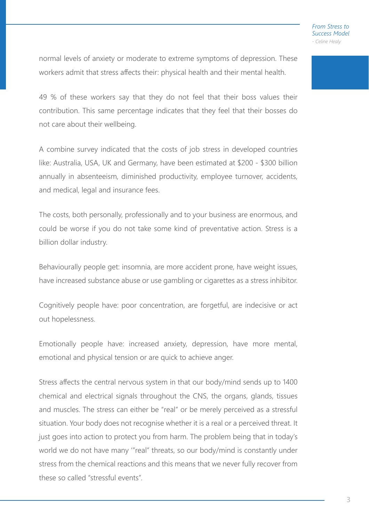normal levels of anxiety or moderate to extreme symptoms of depression. These workers admit that stress affects their: physical health and their mental health.

49 % of these workers say that they do not feel that their boss values their contribution. This same percentage indicates that they feel that their bosses do not care about their wellbeing.

A combine survey indicated that the costs of job stress in developed countries like: Australia, USA, UK and Germany, have been estimated at \$200 - \$300 billion annually in absenteeism, diminished productivity, employee turnover, accidents, and medical, legal and insurance fees.

The costs, both personally, professionally and to your business are enormous, and could be worse if you do not take some kind of preventative action. Stress is a billion dollar industry.

Behaviourally people get: insomnia, are more accident prone, have weight issues, have increased substance abuse or use gambling or cigarettes as a stress inhibitor.

Cognitively people have: poor concentration, are forgetful, are indecisive or act out hopelessness.

Emotionally people have: increased anxiety, depression, have more mental, emotional and physical tension or are quick to achieve anger.

Stress affects the central nervous system in that our body/mind sends up to 1400 chemical and electrical signals throughout the CNS, the organs, glands, tissues and muscles. The stress can either be "real" or be merely perceived as a stressful situation. Your body does not recognise whether it is a real or a perceived threat. It just goes into action to protect you from harm. The problem being that in today's world we do not have many '"real" threats, so our body/mind is constantly under stress from the chemical reactions and this means that we never fully recover from these so called "stressful events".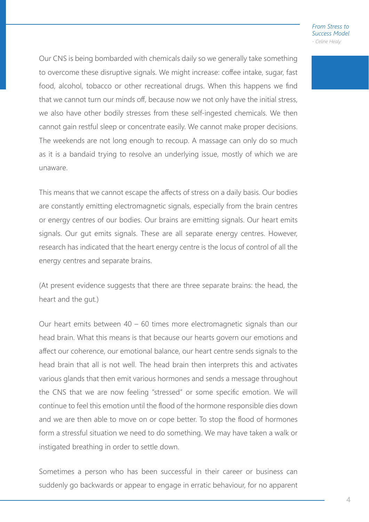Our CNS is being bombarded with chemicals daily so we generally take something to overcome these disruptive signals. We might increase: coffee intake, sugar, fast food, alcohol, tobacco or other recreational drugs. When this happens we find that we cannot turn our minds off, because now we not only have the initial stress, we also have other bodily stresses from these self-ingested chemicals. We then cannot gain restful sleep or concentrate easily. We cannot make proper decisions. The weekends are not long enough to recoup. A massage can only do so much as it is a bandaid trying to resolve an underlying issue, mostly of which we are unaware.

This means that we cannot escape the affects of stress on a daily basis. Our bodies are constantly emitting electromagnetic signals, especially from the brain centres or energy centres of our bodies. Our brains are emitting signals. Our heart emits signals. Our gut emits signals. These are all separate energy centres. However, research has indicated that the heart energy centre is the locus of control of all the energy centres and separate brains.

(At present evidence suggests that there are three separate brains: the head, the heart and the gut.)

Our heart emits between 40 – 60 times more electromagnetic signals than our head brain. What this means is that because our hearts govern our emotions and affect our coherence, our emotional balance, our heart centre sends signals to the head brain that all is not well. The head brain then interprets this and activates various glands that then emit various hormones and sends a message throughout the CNS that we are now feeling "stressed" or some specific emotion. We will continue to feel this emotion until the flood of the hormone responsible dies down and we are then able to move on or cope better. To stop the flood of hormones form a stressful situation we need to do something. We may have taken a walk or instigated breathing in order to settle down.

Sometimes a person who has been successful in their career or business can suddenly go backwards or appear to engage in erratic behaviour, for no apparent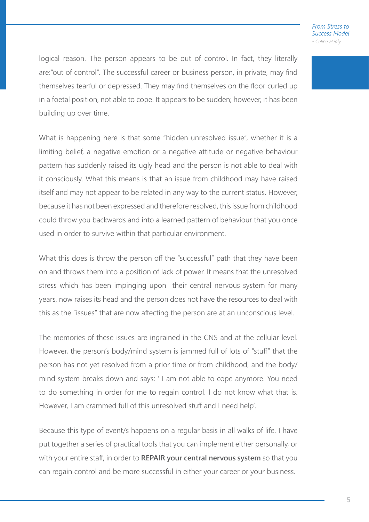logical reason. The person appears to be out of control. In fact, they literally are:"out of control". The successful career or business person, in private, may find themselves tearful or depressed. They may find themselves on the floor curled up in a foetal position, not able to cope. It appears to be sudden; however, it has been building up over time.

What is happening here is that some "hidden unresolved issue", whether it is a limiting belief, a negative emotion or a negative attitude or negative behaviour pattern has suddenly raised its ugly head and the person is not able to deal with it consciously. What this means is that an issue from childhood may have raised itself and may not appear to be related in any way to the current status. However, because it has not been expressed and therefore resolved, this issue from childhood could throw you backwards and into a learned pattern of behaviour that you once used in order to survive within that particular environment.

What this does is throw the person off the "successful" path that they have been on and throws them into a position of lack of power. It means that the unresolved stress which has been impinging upon their central nervous system for many years, now raises its head and the person does not have the resources to deal with this as the "issues" that are now affecting the person are at an unconscious level.

The memories of these issues are ingrained in the CNS and at the cellular level. However, the person's body/mind system is jammed full of lots of "stuff" that the person has not yet resolved from a prior time or from childhood, and the body/ mind system breaks down and says: ' I am not able to cope anymore. You need to do something in order for me to regain control. I do not know what that is. However, I am crammed full of this unresolved stuff and I need help'.

Because this type of event/s happens on a regular basis in all walks of life, I have put together a series of practical tools that you can implement either personally, or with your entire staff, in order to **REPAIR your central nervous system** so that you can regain control and be more successful in either your career or your business.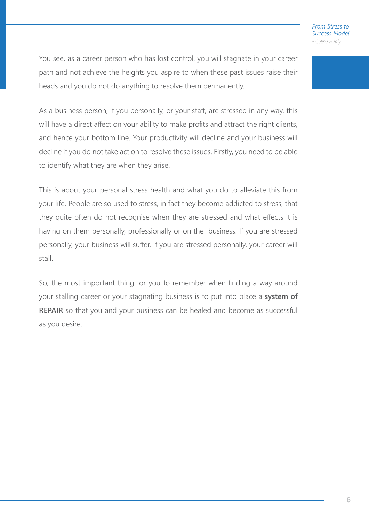You see, as a career person who has lost control, you will stagnate in your career path and not achieve the heights you aspire to when these past issues raise their heads and you do not do anything to resolve them permanently.

As a business person, if you personally, or your staff, are stressed in any way, this will have a direct affect on your ability to make profits and attract the right clients, and hence your bottom line. Your productivity will decline and your business will decline if you do not take action to resolve these issues. Firstly, you need to be able to identify what they are when they arise.

This is about your personal stress health and what you do to alleviate this from your life. People are so used to stress, in fact they become addicted to stress, that they quite often do not recognise when they are stressed and what effects it is having on them personally, professionally or on the business. If you are stressed personally, your business will suffer. If you are stressed personally, your career will stall.

So, the most important thing for you to remember when finding a way around your stalling career or your stagnating business is to put into place a **system of REPAIR** so that you and your business can be healed and become as successful as you desire.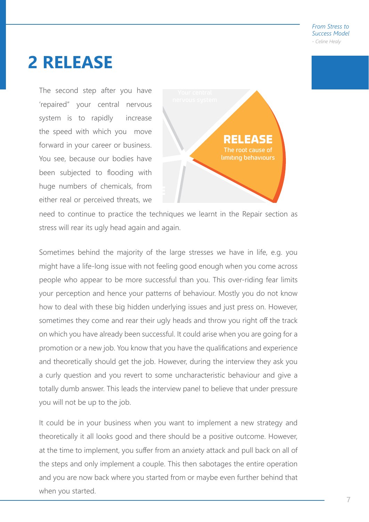### **2 RELEASE**

The second step after you have 'repaired" your central nervous system is to rapidly increase the speed with which you move forward in your career or business. You see, because our bodies have been subjected to flooding with huge numbers of chemicals, from either real or perceived threats, we



need to continue to practice the techniques we learnt in the Repair section as stress will rear its ugly head again and again.

Sometimes behind the majority of the large stresses we have in life, e.g. you might have a life-long issue with not feeling good enough when you come across people who appear to be more successful than you. This over-riding fear limits your perception and hence your patterns of behaviour. Mostly you do not know how to deal with these big hidden underlying issues and just press on. However, sometimes they come and rear their ugly heads and throw you right off the track on which you have already been successful. It could arise when you are going for a promotion or a new job. You know that you have the qualifications and experience and theoretically should get the job. However, during the interview they ask you a curly question and you revert to some uncharacteristic behaviour and give a totally dumb answer. This leads the interview panel to believe that under pressure you will not be up to the job.

It could be in your business when you want to implement a new strategy and theoretically it all looks good and there should be a positive outcome. However, at the time to implement, you suffer from an anxiety attack and pull back on all of the steps and only implement a couple. This then sabotages the entire operation and you are now back where you started from or maybe even further behind that when you started.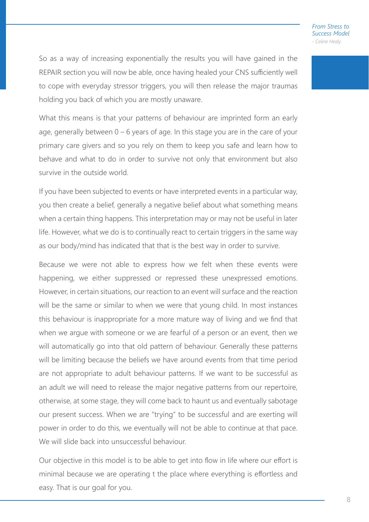So as a way of increasing exponentially the results you will have gained in the REPAIR section you will now be able, once having healed your CNS sufficiently well to cope with everyday stressor triggers, you will then release the major traumas holding you back of which you are mostly unaware.

What this means is that your patterns of behaviour are imprinted form an early age, generally between 0 – 6 years of age. In this stage you are in the care of your primary care givers and so you rely on them to keep you safe and learn how to behave and what to do in order to survive not only that environment but also survive in the outside world.

If you have been subjected to events or have interpreted events in a particular way, you then create a belief, generally a negative belief about what something means when a certain thing happens. This interpretation may or may not be useful in later life. However, what we do is to continually react to certain triggers in the same way as our body/mind has indicated that that is the best way in order to survive.

Because we were not able to express how we felt when these events were happening, we either suppressed or repressed these unexpressed emotions. However, in certain situations, our reaction to an event will surface and the reaction will be the same or similar to when we were that young child. In most instances this behaviour is inappropriate for a more mature way of living and we find that when we argue with someone or we are fearful of a person or an event, then we will automatically go into that old pattern of behaviour. Generally these patterns will be limiting because the beliefs we have around events from that time period are not appropriate to adult behaviour patterns. If we want to be successful as an adult we will need to release the major negative patterns from our repertoire, otherwise, at some stage, they will come back to haunt us and eventually sabotage our present success. When we are "trying" to be successful and are exerting will power in order to do this, we eventually will not be able to continue at that pace. We will slide back into unsuccessful behaviour.

Our objective in this model is to be able to get into flow in life where our effort is minimal because we are operating t the place where everything is effortless and easy. That is our goal for you.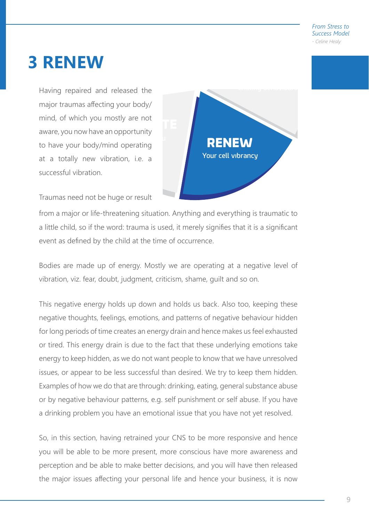### **3 RENEW**

Having repaired and released the major traumas affecting your body/ mind, of which you mostly are not aware, you now have an opportunity to have your body/mind operating at a totally new vibration, i.e. a successful vibration.



Traumas need not be huge or result

from a major or life-threatening situation. Anything and everything is traumatic to a little child, so if the word: trauma is used, it merely signifies that it is a significant event as defined by the child at the time of occurrence.

Bodies are made up of energy. Mostly we are operating at a negative level of vibration, viz. fear, doubt, judgment, criticism, shame, guilt and so on.

This negative energy holds up down and holds us back. Also too, keeping these negative thoughts, feelings, emotions, and patterns of negative behaviour hidden for long periods of time creates an energy drain and hence makes us feel exhausted or tired. This energy drain is due to the fact that these underlying emotions take energy to keep hidden, as we do not want people to know that we have unresolved issues, or appear to be less successful than desired. We try to keep them hidden. Examples of how we do that are through: drinking, eating, general substance abuse or by negative behaviour patterns, e.g. self punishment or self abuse. If you have a drinking problem you have an emotional issue that you have not yet resolved.

So, in this section, having retrained your CNS to be more responsive and hence you will be able to be more present, more conscious have more awareness and perception and be able to make better decisions, and you will have then released the major issues affecting your personal life and hence your business, it is now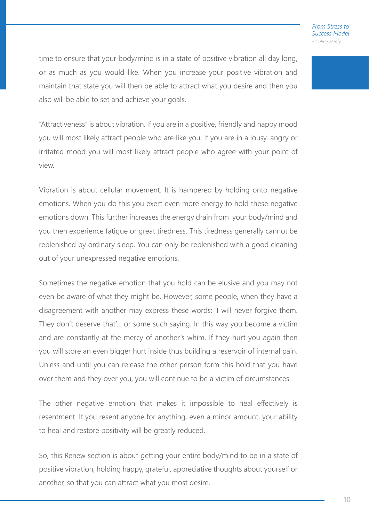time to ensure that your body/mind is in a state of positive vibration all day long, or as much as you would like. When you increase your positive vibration and maintain that state you will then be able to attract what you desire and then you also will be able to set and achieve your goals.

"Attractiveness" is about vibration. If you are in a positive, friendly and happy mood you will most likely attract people who are like you. If you are in a lousy, angry or irritated mood you will most likely attract people who agree with your point of view.

Vibration is about cellular movement. It is hampered by holding onto negative emotions. When you do this you exert even more energy to hold these negative emotions down. This further increases the energy drain from your body/mind and you then experience fatigue or great tiredness. This tiredness generally cannot be replenished by ordinary sleep. You can only be replenished with a good cleaning out of your unexpressed negative emotions.

Sometimes the negative emotion that you hold can be elusive and you may not even be aware of what they might be. However, some people, when they have a disagreement with another may express these words: 'I will never forgive them. They don't deserve that'... or some such saying. In this way you become a victim and are constantly at the mercy of another's whim. If they hurt you again then you will store an even bigger hurt inside thus building a reservoir of internal pain. Unless and until you can release the other person form this hold that you have over them and they over you, you will continue to be a victim of circumstances.

The other negative emotion that makes it impossible to heal effectively is resentment. If you resent anyone for anything, even a minor amount, your ability to heal and restore positivity will be greatly reduced.

So, this Renew section is about getting your entire body/mind to be in a state of positive vibration, holding happy, grateful, appreciative thoughts about yourself or another, so that you can attract what you most desire.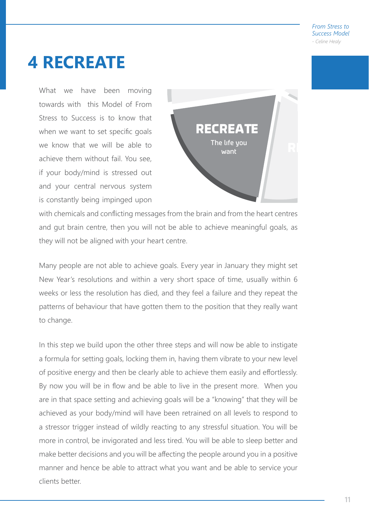### **4 RECREATE**

What we have been moving towards with this Model of From Stress to Success is to know that when we want to set specific goals we know that we will be able to achieve them without fail. You see, if your body/mind is stressed out and your central nervous system is constantly being impinged upon



with chemicals and conflicting messages from the brain and from the heart centres and gut brain centre, then you will not be able to achieve meaningful goals, as they will not be aligned with your heart centre.

Many people are not able to achieve goals. Every year in January they might set New Year's resolutions and within a very short space of time, usually within 6 weeks or less the resolution has died, and they feel a failure and they repeat the patterns of behaviour that have gotten them to the position that they really want to change.

In this step we build upon the other three steps and will now be able to instigate a formula for setting goals, locking them in, having them vibrate to your new level of positive energy and then be clearly able to achieve them easily and effortlessly. By now you will be in flow and be able to live in the present more. When you are in that space setting and achieving goals will be a "knowing" that they will be achieved as your body/mind will have been retrained on all levels to respond to a stressor trigger instead of wildly reacting to any stressful situation. You will be more in control, be invigorated and less tired. You will be able to sleep better and make better decisions and you will be affecting the people around you in a positive manner and hence be able to attract what you want and be able to service your clients better.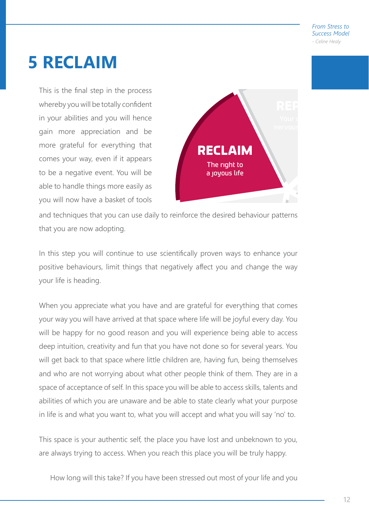## **5 RECLAIM**

This is the final step in the process whereby you will be totally confident in your abilities and you will hence gain more appreciation and be more grateful for everything that comes your way, even if it appears to be a negative event. You will be able to handle things more easily as you will now have a basket of tools



and techniques that you can use daily to reinforce the desired behaviour patterns that you are now adopting.

In this step you will continue to use scientifically proven ways to enhance your positive behaviours, limit things that negatively affect you and change the way your life is heading.

When you appreciate what you have and are grateful for everything that comes your way you will have arrived at that space where life will be joyful every day. You will be happy for no good reason and you will experience being able to access deep intuition, creativity and fun that you have not done so for several years. You will get back to that space where little children are, having fun, being themselves and who are not worrying about what other people think of them. They are in a space of acceptance of self. In this space you will be able to access skills, talents and abilities of which you are unaware and be able to state clearly what your purpose in life is and what you want to, what you will accept and what you will say 'no' to.

This space is your authentic self, the place you have lost and unbeknown to you, are always trying to access. When you reach this place you will be truly happy.

How long will this take? If you have been stressed out most of your life and you